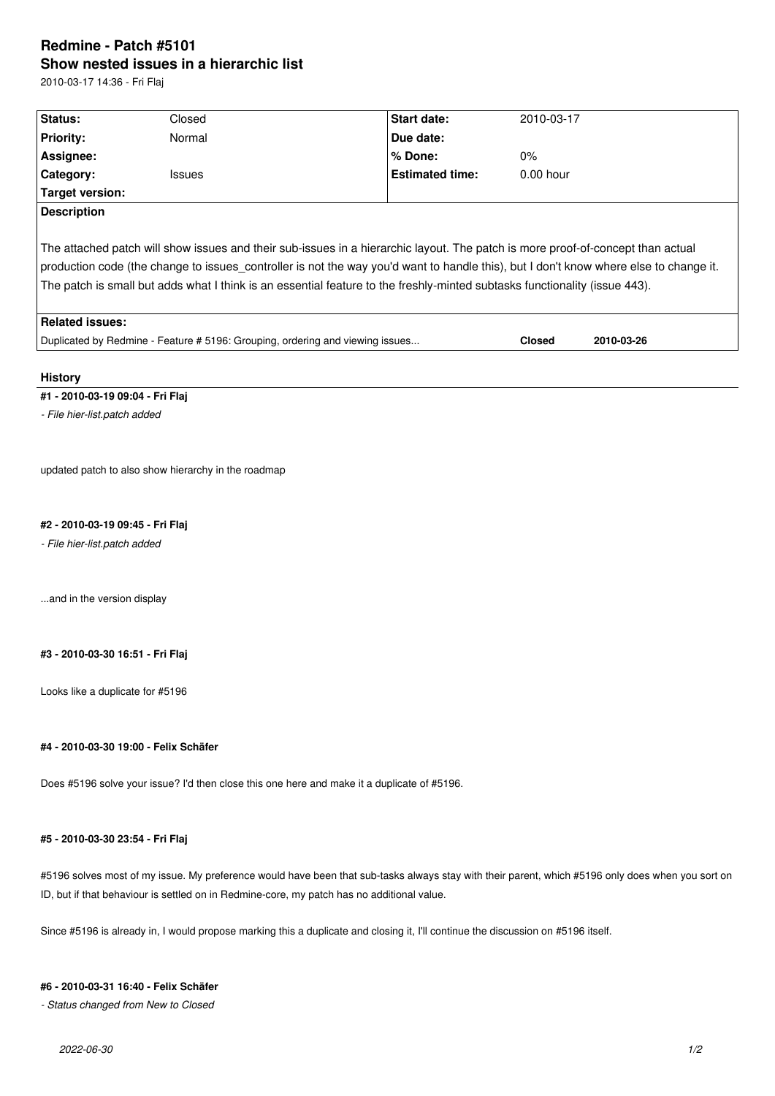## **Redmine - Patch #5101 Show nested issues in a hierarchic list**

2010-03-17 14:36 - Fri Flaj

| Status:                                                                                                                                           | Closed                                                                        | Start date:            | 2010-03-17    |            |  |  |  |
|---------------------------------------------------------------------------------------------------------------------------------------------------|-------------------------------------------------------------------------------|------------------------|---------------|------------|--|--|--|
| <b>Priority:</b>                                                                                                                                  | Normal                                                                        | Due date:              |               |            |  |  |  |
| Assignee:                                                                                                                                         |                                                                               | % Done:                | $0\%$         |            |  |  |  |
| Category:                                                                                                                                         | Issues                                                                        | <b>Estimated time:</b> | $0.00$ hour   |            |  |  |  |
| <b>Target version:</b>                                                                                                                            |                                                                               |                        |               |            |  |  |  |
| <b>Description</b>                                                                                                                                |                                                                               |                        |               |            |  |  |  |
| The attached patch will show issues and their sub-issues in a hierarchic layout. The patch is more proof-of-concept than actual                   |                                                                               |                        |               |            |  |  |  |
| production code (the change to issues_controller is not the way you'd want to handle this), but I don't know where else to change it.             |                                                                               |                        |               |            |  |  |  |
| The patch is small but adds what I think is an essential feature to the freshly-minted subtasks functionality (issue 443).                        |                                                                               |                        |               |            |  |  |  |
| <b>Related issues:</b>                                                                                                                            |                                                                               |                        |               |            |  |  |  |
|                                                                                                                                                   | Duplicated by Redmine - Feature # 5196: Grouping, ordering and viewing issues |                        | <b>Closed</b> | 2010-03-26 |  |  |  |
|                                                                                                                                                   |                                                                               |                        |               |            |  |  |  |
| <b>History</b>                                                                                                                                    |                                                                               |                        |               |            |  |  |  |
| #1 - 2010-03-19 09:04 - Fri Flaj                                                                                                                  |                                                                               |                        |               |            |  |  |  |
| - File hier-list.patch added                                                                                                                      |                                                                               |                        |               |            |  |  |  |
|                                                                                                                                                   |                                                                               |                        |               |            |  |  |  |
|                                                                                                                                                   |                                                                               |                        |               |            |  |  |  |
|                                                                                                                                                   | updated patch to also show hierarchy in the roadmap                           |                        |               |            |  |  |  |
|                                                                                                                                                   |                                                                               |                        |               |            |  |  |  |
|                                                                                                                                                   |                                                                               |                        |               |            |  |  |  |
| #2 - 2010-03-19 09:45 - Fri Flaj<br>- File hier-list.patch added                                                                                  |                                                                               |                        |               |            |  |  |  |
|                                                                                                                                                   |                                                                               |                        |               |            |  |  |  |
|                                                                                                                                                   |                                                                               |                        |               |            |  |  |  |
| and in the version display                                                                                                                        |                                                                               |                        |               |            |  |  |  |
|                                                                                                                                                   |                                                                               |                        |               |            |  |  |  |
|                                                                                                                                                   |                                                                               |                        |               |            |  |  |  |
| #3 - 2010-03-30 16:51 - Fri Flaj                                                                                                                  |                                                                               |                        |               |            |  |  |  |
|                                                                                                                                                   |                                                                               |                        |               |            |  |  |  |
| Looks like a duplicate for #5196                                                                                                                  |                                                                               |                        |               |            |  |  |  |
|                                                                                                                                                   |                                                                               |                        |               |            |  |  |  |
|                                                                                                                                                   |                                                                               |                        |               |            |  |  |  |
| #4 - 2010-03-30 19:00 - Felix Schäfer                                                                                                             |                                                                               |                        |               |            |  |  |  |
|                                                                                                                                                   |                                                                               |                        |               |            |  |  |  |
| Does #5196 solve your issue? I'd then close this one here and make it a duplicate of #5196.                                                       |                                                                               |                        |               |            |  |  |  |
|                                                                                                                                                   |                                                                               |                        |               |            |  |  |  |
|                                                                                                                                                   |                                                                               |                        |               |            |  |  |  |
| #5 - 2010-03-30 23:54 - Fri Flaj                                                                                                                  |                                                                               |                        |               |            |  |  |  |
|                                                                                                                                                   |                                                                               |                        |               |            |  |  |  |
| #5196 solves most of my issue. My preference would have been that sub-tasks always stay with their parent, which #5196 only does when you sort on |                                                                               |                        |               |            |  |  |  |
| ID, but if that behaviour is settled on in Redmine-core, my patch has no additional value.                                                        |                                                                               |                        |               |            |  |  |  |

Since #5196 is already in, I would propose marking this a duplicate and closing it, I'll continue the discussion on #5196 itself.

## **#6 - 2010-03-31 16:40 - Felix Schäfer**

*- Status changed from New to Closed*